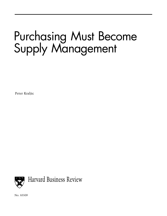## Purchasing Must Become Supply Management

Peter Kraljic



No. 83509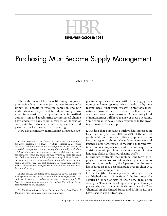

### Purchasing Must Become Supply Management

#### Peter Kraljic

The stable way of business life many corporate purchasing departments enjoy has been increasingly imperiled. Threats of resource depletion and raw materials scarcity, political turbulence and government intervention in supply markets, intensified competition, and accelerating technological change have ended the days of no surprises. As dozens of companies have already learned, supply and demand patterns can be upset virtually overnight.

How can a company guard against disastrous sup-

*In many companies, purchasing, perhaps more than any other business function, is wedded to routine. Ignoring or accepting countless economic and political disruptions to their supply of materials, companies continue to negotiate annually with their established networks of suppliers or sources. But many purchasing managers' skills and outlooks were formed 20 years ago in an era of relative stability, and they haven't changed. Now, however, no company can allow purchasing to lag behind other departments in acknowledging and adjusting to worldwide environmental and economic changes. Such an attitude is not only obsolete but also costly.*

*In this article, the author offers pragmatic advice on how top management can recognize the extent of its own supply weakness and treat it with a comprehensive strategy to manage supply. He leads the reader step by step from the roots of the problem to the implementation of a solution.*

*Mr. Kraljic is a director in the Düsseldorf office of McKinsey & Company, Inc., the international consulting firm.*

ply interruptions and cope with the changing economics and new opportunities brought on by new technologies? What capabilities will a profitable international business need to sustain itself in the face of strong protectionist pressures? Almost every kind of manufacturer will have to answer these questions. Some companies have already responded to the growing pressures. For example:

 $\Box$  Finding that purchasing outlays had increased in less than one year from 40% to 70% of the cost of goods sold, one European office-equipment manufacturer began to rely more heavily on American and Japanese suppliers, revise its materials planning system to reduce in-process inventories, and require its divisions to add people with electronics and foreign language skills to their purchasing staffs.

 $\Box$  Through contracts that include long-term shipping charters and run to 1988 with suppliers in countries as distant as Brazil, the Japanese steel industry has secured an 18% cost advantage over its chief U.S. and European competitors.

 $\Box$  Hoechst (the German petrochemical giant) has established ties to Kuwait and DuPont recently acquired Conoco as part of their new acquisition strategies. This reflects a long-term approach to supply security that other chemical companies like Dow Chemical in the United States and BASF in Europe have used to good advantage.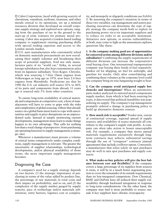$\square$  Cabot Corporation, faced with growing scarcity of chromium, vanadium, niobium, titanium, and other metals critical to its operations, set up a mineral resources division that developed an overall corporate supply strategy and explored new options, ranging from the purchase of ore in the ground to the start-up of joint ventures for primary metal processing. Cabot also acquired a London-based trading company to supplement existing purchasing skills with special trading expertise and access to the London metals market.

 $\square$  U.S. auto manufacturers who customarily relied on domestic materials procurement are now reevaluating their supply schemes and broadening their scope of potential suppliers. Ford not only manufactures parts of its "world car," Erika, in several foreign subsidiaries but also buys transmission axles from its Japanese subsidiary, Toyo Kogyo. Chrysler, which was sourcing 1.7-liter Omni engines from Volkswagen as long ago as 1978, now buys 2.6-liter engines from Mitsubishi. Predictions are that by 1990 the U.S. car industry will source 35% to 40% of its parts and components from abroad; 15 years ago it sourced only 5% from other countries.

To ensure long-term availability of critical materials and components at competitive cost, a host of manufacturers will have to come to grips with the risks and complexities of global sourcing. Others that already source on a global basis must learn to cope with uncertainties and supply or price disruptions on an unprecedented scale. Instead of simply monitoring current developments, management must learn to make things happen to its own advantage. This calls for nothing less than a total change of perspective: from purchasing (an operating function) to supply management (a strategic one).

Whenever a manufacturer must procure a volume of critical items competitively under complex conditions, supply management is relevant. The greater the uncertainty of supplier relationships, technological developments, and/or physical availability of those items, the more important supply management becomes.

#### Diagnosing the Case

A company's need for a supply strategy depends on two factors: (1) the strategic importance of purchasing in terms of the value added by product line, the percentage of raw materials in total costs and their impact on profitability, and so on; and (2) the complexity of the supply market gauged by supply scarcity, pace of technology and/or materials substitution, entry barriers, logistics cost or complex-

ity, and monopoly or oligopoly conditions (see *Exhibit I*). By assessing the company's situation in terms of these two variables, top management and senior purchasing executives can determine the type of supply strategy the company needs both to exploit its purchasing power vis-à-vis important suppliers and to reduce its risks to an acceptable minimum. Attractive new options, or serious vulnerabilities, or both, may come to light as the assessment explores questions like these:

**1. Is the company making good use of opportunities for concerted action among different divisions and/or subsidiaries?** Combining the supply requirements of different divisions can increase the corporation's total buying clout. One international transportation company was buying three kinds of fuel separately: bunker oil for shipping, jet fuel for airfreight, and gasoline for trucks. Only after consolidating and combining these volumes at the corporate level could the company bring its true bargaining weight to bear.

**2. Can the company avoid anticipated supply bottlenecks and interruptions?** When an automotive parts maker analyzed its sintered metal components supply market, from which it had been sourcing for years, it discovered that political instability was jeopardizing its supply. The company's top management promptly ordered a change in purchasing policy to build up alternative domestic sources.

**3. How much risk is acceptable?** Vendor mix, extent of contractual coverage, regional spread of supply sources, and availability of scarce materials all contribute to the company's supply risk profile. A company can often take action to lessen unacceptable risk. For example, a company that meets annual materials requirements exclusively through longterm contracts may achieve substantial savings through the use of "evergreen" contracts (annual agreements) that include a rollover option. Conversely, a manufacturer that relies solely on spot purchases may do well to mix spot purchases and supply contracts.

**4. What make-or-buy policies will give the best balance between cost and flexibility?** If the company covers a large percentage of its supplies from sources it owns, it will be in a much better negotiating position to cover the remainder of its outside requirements than its less-integrated competitors. Dow Chemical, BASF, and DuPont have all reduced their supply vulnerability through backward integration in response to long-term considerations. On the other hand, the company may find it more profitable to source outside if key suppliers have chronic overcapacity.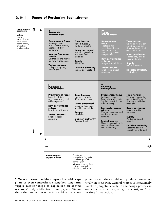

**5**. **To what extent might cooperation with suppliers or even competitors strengthen long-term supply relationships or capitalize on shared resources?** Italy's Alfa Romeo and Japan's Nissan share the production of certain critical car com-

ponents that they could not produce cost-effectively on their own. General Motors is increasingly involving suppliers early in the design process in order to ensure better quality, lower cost, and "just in time" production.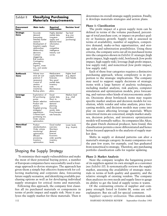| Exhibit II                  | <b>Classifying Purchasing</b><br>Materials Requirements                                                                                                                                                                                                                               |                                                                                                                                                                |                                                        |  |  |
|-----------------------------|---------------------------------------------------------------------------------------------------------------------------------------------------------------------------------------------------------------------------------------------------------------------------------------|----------------------------------------------------------------------------------------------------------------------------------------------------------------|--------------------------------------------------------|--|--|
| <b>Procurement</b><br>focus | Main tasks                                                                                                                                                                                                                                                                            | Required<br>information                                                                                                                                        | <b>Decision level</b>                                  |  |  |
| Strategic<br>items          | Accurate<br>demand<br>forecasting.<br>Detailed market<br>research.<br>Development of<br>long-term supply<br>relationships.<br>Make-or-buy<br>decisions.<br>Contract<br>staggering.<br>Risk analysis.<br>Contingency<br>planning.<br>Logistics, inven-<br>tory, and vendor<br>control. | Highly detailed<br>market data.<br>Long-term<br>supply and<br>demand trend<br>information.<br>Good<br>competitive<br>intelligence.<br>Industry cost<br>curves. | Top level<br>(e.g., vice<br>president,<br>purchasing). |  |  |
| <b>Bottleneck</b><br>items  | Volume insur-<br>ance (at cost<br>premium it<br>necessary).<br>Control of<br>vendors.<br>Security of<br>inventories.<br>Backup plans.                                                                                                                                                 | Medium-term<br>supply/demand<br>torecasts.<br>Very good<br>market data.<br>Inventory<br>costs.<br>Maintenance<br>plans.                                        | Higher level<br>e.g., depart-<br>ment heads).          |  |  |
| Leverage<br>items           | Exploitation of<br>full purchasing<br>power.<br>Vendor selection.<br>Product sub-<br>stitution.<br>Targeted pricing<br>strategies/<br>negotiations.<br>Contract/spot<br>purchasing mix.<br>Order volume<br>optimization.                                                              | Good<br>market data.<br>Short- to<br>medium-term<br>demand<br>planning.<br>Accurate<br>vendor data.<br>Price/transport<br>rate forecasts.                      | Medium level<br>(e.g., chief<br>buyer).                |  |  |
| Noncritical<br>items        | Product<br>standardization.<br>Order volume<br>monitoring/<br>optimization.<br>Efficient<br>processing.<br>Inventory<br>optimization.                                                                                                                                                 | Good market<br>overview.<br>Short-term<br>demand<br>torecast.<br>Economic<br>order quantity<br>inventory<br>levels.                                            | Lower levels<br>(e.g., buyers).                        |  |  |

#### Shaping the Supply Strategy

To minimize their supply vulnerabilities and make the most of their potential buying power, a number of European companies have successfully used a fourstage approach to devise strategies. The approach has given them a simple but effective framework for collecting marketing and corporate data, forecasting future supply scenarios, and identifying available purchasing options as well as for developing individual supply strategies for critical items and materials.

Following this approach, the company first classifies all its purchased materials or components in terms of profit impact and supply risk. Next it analyzes the supply market for these materials. Then it determines its overall strategic supply position. Finally, it develops materials strategies and action plans.

#### **Phase 1: Classification**

The profit impact of a given supply item can be defined in terms of the volume purchased, percentage of total purchase cost, or impact on product quality or business growth. Supply risk is assessed in terms of availability, number of suppliers, competitive demand, make-or-buy opportunities, and storage risks and substitution possibilities. Using these criteria, the company sorts out all its purchased items into the categories shown in *Exhibit II:* strategic (high profit impact, high supply risk), bottleneck (low profit impact, high supply risk), leverage (high profit impact, low supply risk), and noncritical (low profit impact, low supply risk).

Each of these four categories requires a distinctive purchasing approach, whose complexity is in proportion to the strategic implications. The company may need to support supply decisions of strategic items with a large battery of analytic techniques, including market analysis, risk analysis, computer simulation and optimization models, price forecasting, and various other kinds of microeconomic analysis. Decisions about bottleneck items may require specific market analysis and decision models for resolution, while vendor and value analysis, price forecasting models, and decision models may come into play on issues affecting leverage materials. Where noncritical items are concerned, simple market analyses, decision policies, and inventory optimization models will normally suffice. As companies like Akzo, the giant Dutch chemical producer, have found, this classification permits a more differentiated and hence better focused approach to the analysis of supply market data.

Shifts in supply or demand patterns can alter a material's strategic category. In many companies over the past few years, for example, coal has graduated from noncritical to strategic. Therefore, any purchasing portfolio classification calls for regular updating.

#### **Phase 2: Market Analysis**

Next the company weights the bargaining power of its suppliers against its own strength as a customer (see *Exhibit III*). It systematically reviews the supply market, assessing the availability of strategic materials in terms of both quality and quantity, and the relative strength of existing vendors. The company then analyzes its own needs and supply lines to gauge its ability to get the kind of supply terms it wants.

Of the contrasting criteria of supplier and company strength listed in Exhibit III, some are selfexplanatory. But six call for special comment.

*Suppliers' capacity utilization.* This criterion indi-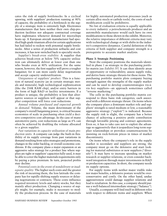cates the risk of supply bottlenecks. In a cyclical upswing, with suppliers' production running at 90% of capacity, the probability of a bottleneck in the supply of a strategic item is extremely high. Electronics manufacturers that have neither their own chip-production facilities nor adequate contractual coverage have nightmares whenever demand for microchips heats up. A European aircraft manufacturer had specified high-grade titanium alloys for certain applications but had failed to reckon with potential supply bottlenecks. After a series of production setbacks and cost increases, it has now switched back to specialty steels.

*Supplier's break-even stability*. A supplier that achieves break-even at below 70% capacity utilization can ultimately deliver at lower cost than one who breaks even at 80% utilization. For the same reason, however, the first supplier will prove a tougher bargainer, for it can more easily delay negotiations and accept capacity underutilization.

*Uniqueness of suppliers' product.* This is a function of natural scarcity (as in certain strategic metals and minerals), high technological sophistication (like the 256K RAM chip), and/or entry barriers in the form of high R&D or facility investments. If a product is unique, the probability is less that alternative sources or suppliers will appear or that supplier competition will force cost reductions.

*Annual volume purchased and expected growth in demand.* Volume, the main determinant of the company's overall bargaining power, is critical because economies of scale in purchasing often yield a decisive competitive cost advantage. In the case of many automotive parts, cost reductions as large as 4% can often be achieved by doubling the volume allocated to a given supplier.

*Past variations in capacity utilization of main production units.* A company can judge the built-in flexibility of its supply coverage from past variations in demand resulting from sales strategies and promotions, changes in the order backlog, or overall economic conditions. If the company plans a major expansion or an aggressive sales strategy for a product line where supplies are tight or suppliers' capacities fully used, it may be able to cover the higher materials requirements only by paying a price premium. In turn, projected profits may decline.

*Potential costs in the event of nondelivery or inadequate quality.* The higher such costs and the greater the risk of incurring them, the less latitude the company has for rapidly shifting supply sources or delaying negotiations or contracts. These costs influence required inventory levels and safety stocks, but they mainly affect production. Changing a source of supply might, for example, make it necessary to modify the production process. In the case of materials

for highly automated production processes (such as certain alloy steels or carbide tools), the costs of such modification could be prohibitive.

No list of evaluation criteria is equally applicable to every industry: a petrochemicals producer and an automobile manufacturer would each have its own modifications to those shown in the exhibit. Moreover, the relative importance of different criteria may vary with technological change or with shifts in the industry's competitive dynamics. Careful definition of the criteria of both supplier and company strength is a prerequisite to accurate market analysis.

#### **Phase 3: Strategic Positioning**

Next the company positions the materials identified in phase 1 as strategic in the purchasing portfolio matrix (see *Exhibit IV*). It can then identify areas of opportunity or vulnerability, assess supply risks, and derive basic strategic thrusts for these items. The purchasing portfolio matrix plots company buying strength against the strengths of the supply market and can be used to develop counterstrategies vis-àvis key suppliers—an approach sometimes called "reverse marketing."

The cells in the purchasing portfolio matrix correspond to three basic risk categories, each associated with a different strategic thrust. On items where the company plays a dominant market role and suppliers' strength is rated medium or low, a reasonably aggressive strategy ("exploit") is indicated. Because the supply risk is slight, the company has a better chance of achieving a positive profit contribution through favorable pricing and contract agreements. Even so, it has to take care not to exploit the advantage so aggressively that it jeopardizes long-term supplier relationships or provokes counterreactions by insisting on rock-bottom prices in times of market discontinuity.

On items where the company's role in the supply market is secondary and suppliers are strong, the company must go on the defensive and start looking for material substitutes or new suppliers ("diversify"). It may have to increase spending on market research or supplier relations, or even consider backward integration through major investments in R&D or production capacities. In short, the company needs its supply options.

For supply items with neither major visible risks nor major benefits, a defensive posture would be overconservative and costly. On the other hand, undue aggressiveness could damage supplier relations and lead to retaliation. In this case, a company should pursue a well-balanced intermediate strategy ("balance").

Usually, a company will find itself in different roles with respect to different items and suppliers. When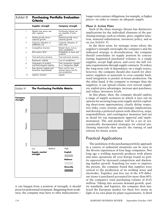| Exhibit III    | <b>Purchasing Portfolio Evaluation</b><br>Criteria   |                                                                 |  |
|----------------|------------------------------------------------------|-----------------------------------------------------------------|--|
|                | Supplier strength                                    | <b>Company strength</b>                                         |  |
| 1              | Market size versus sup-<br>plier capacity            | Purchasing volume ver-<br>sus capacity of main<br>units         |  |
| $\overline{2}$ | Market growth versus<br>capacity growth              | Demand growth versus<br>capacity growth                         |  |
| 3              | Capacity utilization or<br>bottleneck risk           | Capacity utilization of<br>main units                           |  |
| 4              | Competitive structure                                | Market share vis-à-vis<br>main competition                      |  |
| 5              | ROI and/or ROC                                       | Profitability of main end<br>products                           |  |
| 6              | Cost and price structure                             | Cost and price structure                                        |  |
| 7              | Break-even stability                                 | Cost of nondelivery                                             |  |
| 8              | Uniqueness of product<br>and technological stability | Own production capabil-<br>ity or intergration depth            |  |
| 9              | Entry barrier (capital and<br>know-how requirements) | Entry cost for new<br>sources versus cost for<br>own production |  |
| 10             | Logistics situation                                  | Logistic                                                        |  |



it can bargain from a position of strength, it should press for preferential treatment. Bargaining from weakness, the company may have to offer inducementslonger-term contract obligations, for example, or higher prices—in order to ensure an adequate supply.

#### **Phase 4: Action Plans**

Each of the three strategic thrusts has distinctive implications for the individual elements of the purchasing strategy, such as volume, price, supplier selection, material substitution, inventory policy, and so on (see *Exhibit V*).

In the short term, for strategic items where the supplier's strength outweighs the company's and the indicated strategy is diversification, the company should consolidate its supply position by concentrating fragmented purchased volumes in a single supplier, accept high prices, and cover the full volume requirements through supply contracts. To reduce the long-term risk of dependence on a single source, however, the company should also search for alternative suppliers or materials or even consider backward integration to permit in-house production. On the other hand, if the company is stronger than the suppliers, it can spread volume over several suppliers, exploit price advantages, increase spot purchases, and reduce inventory levels.

In this phase, then, the company should explore a range of supply scenarios in which it lays out its options for securing long-term supply and for exploiting short-term opportunities; clearly define respective risks, costs, returns, and strategic implications; and develop a preferred option with objectives, steps, responsibilities, and contingency measures laid out in detail for top management approval and implementation. The end product will be a set of systematically documented strategies for critical purchasing materials that specify the timing of and criteria for future action.

#### Practical Applications

The usefulness of the purchasing portfolio approach in a variety of industrial situations can be seen in the diverse experiences of four large companies. Not long ago a welding materials producer with plants and sales operations all over Europe found its profits squeezed by increased competition and slackening market growth. Searching for ways to improve the picture, the company found that supplies were critical to the production of its welding wires and electrodes. Together, just five out of the 470 different items it purchased accounted for more than 60% of the company's total purchasing volume of \$135 million. Taking into account demand growth, quality standards, and logistics, the company then analyzed the European market for these five items in light of its own plant-by-plant requirements. A third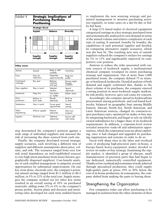| Exhibit V               | <b>Strategic Implications of</b><br><b>Purchasing Portfolio</b><br>Positioning |                                  |                                       |  |
|-------------------------|--------------------------------------------------------------------------------|----------------------------------|---------------------------------------|--|
|                         | <b>Strategic thrust</b>                                                        |                                  |                                       |  |
|                         | <b>Exploit</b>                                                                 | <b>Balance</b>                   | <b>Diversify</b>                      |  |
| Company strength        |                                                                                |                                  |                                       |  |
|                         | Supplier<br>strength                                                           | <b>Supplier</b><br>strength      | <b>Supplier</b><br>strength           |  |
| <b>Policy issues</b>    |                                                                                |                                  |                                       |  |
| Volume                  | Spread                                                                         | Keep or shift<br>carefully       | Centralize                            |  |
| Price                   | Press for<br>reductions                                                        | Negotiate<br>opportunistically   | Keep low<br>profile                   |  |
| Contractual<br>coverage | Buy spot                                                                       | Balance<br>contracts<br>and spot | Ensure supply<br>through<br>contrăcts |  |
| New suppliers           | Stay in touch                                                                  | Selected<br>vendors              | Search<br>vigorously                  |  |
| Inventories             | Keep low                                                                       | Use stocks<br>as "buffer"        | <b>Bolster</b> stocks                 |  |
| Own<br>production       | Reduce or<br>don't enter                                                       | Decide<br>selectively            | Build up<br>or enter                  |  |
| Substitution            | Stay in touch                                                                  | Pursue good<br>opportunities     | Search<br>actively                    |  |
| Value<br>engineering    | Enforce supplier                                                               | Perform<br>selectively           | Start own<br>program                  |  |
| Logistics               | Minimize cost                                                                  | Optimize<br>selectively          | Secure suffi-<br>cient stocks         |  |

step determined the company's position against a wide range of individual suppliers and assessed the risk of increasing the share sourced from each one.

Finally, the company developed several strategic supply scenarios, each involving a different mix of suppliers and different assumptions about price, volume, and risk. The scenarios ranged from very low risk (total dependence on well-established sources) to very high (most purchases from lesser-known, geographically dispersed suppliers). Cost-benefit analyses of each enabled management to pinpoint several opportunities for substantial improvement. On one key item alone, electrode wire, the company's potential annual savings ranged from \$1.5 million to \$6.3 million, or 3% to 12% of the total cost. Supply strategies the company worked out for other key items resulted in an overall saving of 10% on purchased materials, adding some 3% to 4% to the company's pretax profits. Action plans and decision and monitoring rules developed for each item enabled buyers

Faced with sharp rises in the labor and overhead

costs of producing high-precision parts in-house, a Europe-based heavy-equipment maker decided to review its make-or-buy strategy. Examining the supply market, it identified a group of obscure, small manufacturers of precision parts that had begun to use dedicated, numerically controlled equipment. Thanks to low overhead and economies of scale achieved through specialized production, they could supply high-quality parts at prices 10% to 20% below the cost of in-house production. In consequence, the company shifted from making the parts to buying them.

#### Strengthening the Organization

Few companies today can allow purchasing to be managed in isolation from the other elements of their

to implement the new sourcing strategy and permitted management to monitor purchasing activities regularly, in some cases on a day-by-day or bidby-bid basis.

A large U.S.-based maker of electrical equipment categorized castings as a key strategic purchased item and systematically analyzed its own demand in terms of the annual volume and relative complexity of each type of casting. It assessed, foundry by foundry, the capabilities of each potential supplier and decided, by comparing alternative supply scenarios, which was the best fit. The resulting new mix of outside suppliers reduced the company's outlays for castings by 5% to 15% and significantly improved its competitive cost position.

Anxious to reduce the risks associated with current sources of feedstock supply, a multinational chemical company revamped its entire purchasing strategy and organization. Out of more than 5,000 purchased items, the company defined 75 as strategic or bottleneck feedstocks. Detailed analysis of both demand and supply confirmed that, thanks to the sheer volume of its purchases, the company enjoyed a strong position in most feedstock supply markets. Its risk profile, however, gave real cause for concern.

Accordingly, the company spread its hydrocarbons procurement among petroleum- and coal-based feedstocks; balanced its geographic base among Middle Eastern, African, North Sea, North American, and Latin American sources; changed its contracts-tospot-purchases ratio; optimized its make-or-buy mix by integrating backward; and began to rely on wholly owned subsidiaries for a bigger share of its feedstock requirements. In addition, a corporate-level review revealed attractive trade-off and substitution opportunities, which the corporation soon set about exploiting, once it had changed and upgraded its purchasing organization and systems in order to do so.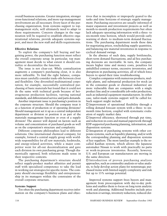overall business systems. Greater integration, stronger cross-functional relations, and more top-management involvement are all necessary. Every facet of the purchasing organization, from systems support to topmanagement style, will ultimately need to adapt to these requirements. Concrete changes in the organization will be required to establish effective organizational relations, provide adequate systems support, and meet the new staff and skills requirements.

#### **Effective Relations**

To exploit the company's full buying and bargaining power, the purchasing function must reflect the overall corporate setup. In particular, top management must decide to what extent it should centralize or decentralize the function.

The issue is not clear-cut. While centralization augments a company's purchasing clout, it is also more inflexible. To find the right balance, companies must carefully consider trade-offs between clout and flexibility. One diversified multinational corporation, for example, successfully centralized purchasing of basic materials but found that it could not do the same with technical goods because of heterogeneous production facilities, varying national standards, and differentiated service and parts demands.

Another important issue is purchasing's position in the corporate structure. Should the company treat it as a function of production or of operating divisions? Should management set it up as a central independent department or division or position it as part of the materials management function or even of a supply division? The answer will depend on factors such as volume and concentration of purchased goods as well as on the corporation's structure and complexity.

Different corporate philosophies lead to different solutions. One international chemical company, for example, formed a central supply group with worldwide responsibility for all raw materials, feedstocks, and energy-related activities, while a major competitor went for all-out decentralization and gave each division its own purchasing group. Though diametrically opposed, both solutions made sense in their respective contexts.

The purchasing department's structure should reflect supply-product market affinities and permit staff with specialized competence to take the lead in working out strategies for specific items. The company should encourage flexibility and entrepreneurship in its managers within the constraints of the overall corporate structure.

#### **Systems Support**

Too often the purchasing department receives information on the company's business plans and objec-

tives that is incomplete or improperly geared to the tasks and time horizons of strategic supply management. Purchasing executives are usually informed of major expansion and investment projects as well as month-to-month production requirements but often lack adequate operating information with a three- to six-month time horizon, which would provide early warning of short- to medium-term demand fluctuations. The purchasing department needs these data for negotiating prices, rescheduling supply quantities, and balancing raw material inventories in response to cyclical demand swings.

In the absence of such data, supply bottlenecks, short-term demand fluctuations, and ad hoc purchasing decisions are inevitable. In turn, the company incurs higher time and money costs, penalties for unfulfilled contract terms, excessive inventories, and disruption in purchasing activities, all of which force buyers to spend their time troubleshooting.

Complex companies with numerous products, multiple plants, and substantial production for stock (as in the consumer goods or chemical industries) are more vulnerable than are companies with a single product line and/or considerable job-order production, such as industrial equipment manufacturers. In either case, tailor-made systems support will be called for. Such support might include:

 $\square$  Improvement of operational flexibility through a rolling demand forecast system with a three- to sixmonth time horizon, coupled with systematic evaluation of supply market data.

 $\square$  Improved efficiency, shortened through put time, and reduction in costs and manual paperwork through EDP-supported purchasing planning, information, and disposition systems.

 $\square$  Integration of purchasing systems with other corporate systems, such as liquidity planning, and/or with the corresponding planning and disposition systems of key suppliers. The most familiar example is the socalled Kanban system, which allows the Japanese automaker Nissan to work with practically no parts or work-in-process inventories. Recently, however, U.S. and European car manufacturers are moving in the same direction.

 $\square$  Introduction of proven purchasing analysis approaches, such as commodity analysis or value analysis, to help develop action plans for nonstrategic purchased items with limited supply complexity and risk but up to 15% savings potential.

Improved systems support frees buyers and management from preoccupation with day-to-day problems and enables them to focus on long-term analytic work and planning. Additional benefits include price reduction or savings, inventory reduction, reduced cler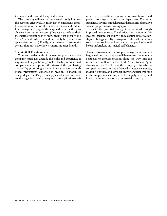ical work, and better delivery and service.

The company will realize these benefits only if it uses the systems effectively. It must foster consistent, crossfunctional information flows and demands and induce line managers to supply the required data for the purchasing information system. (One way to reduce their instinctive resistance is to show them that most of the "new" data already exist and need only be recast in an appropriate format.) Finally, management must make certain that any major new systems are user-friendly.

#### **Staff & Skill Requirements**

To meet the demands of the new supply strategy, the company must also upgrade the skills and experience it requires of key purchasing people. One big international company vastly improved the status of the purchasing division by promoting a dynamic sales executive with broad international expertise to head it. To loosen its design department's grip on supplier selection decisions, another organization hired away an expert applications engi-

neer from a specialized process-control manufacturer and put him in charge of the purchasing department. The result: substantial savings through standardization and alternative sourcing of process-control equipment.

Despite the potential leverage to be obtained through improved purchasing staff and skills, hasty moves in this area can backfire, especially if they disrupt close relationships with suppliers. Top management should foster a constructive atmosphere and attitude among purchasing staff before undertaking any radical staff changes.

Progress toward effective supply management can only be gradual, and the company will have to surmount many obstacles to implementation along the way. But the rewards are well worth the effort. An attitude of "purchasing as usual" will make the company vulnerable to competitive pressure; but enhanced strategic awareness, greater flexibility, and stronger entrepreneurial thinking in the supply area can improve the supply security and lower the input costs of any industrial company.